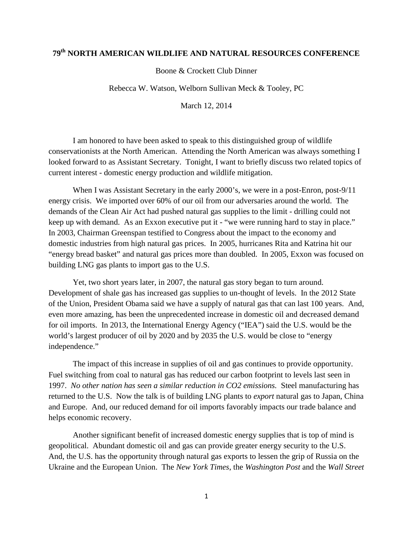## **79th NORTH AMERICAN WILDLIFE AND NATURAL RESOURCES CONFERENCE**

Boone & Crockett Club Dinner

Rebecca W. Watson, Welborn Sullivan Meck & Tooley, PC

March 12, 2014

I am honored to have been asked to speak to this distinguished group of wildlife conservationists at the North American. Attending the North American was always something I looked forward to as Assistant Secretary. Tonight, I want to briefly discuss two related topics of current interest - domestic energy production and wildlife mitigation.

When I was Assistant Secretary in the early 2000's, we were in a post-Enron, post-9/11 energy crisis. We imported over 60% of our oil from our adversaries around the world. The demands of the Clean Air Act had pushed natural gas supplies to the limit - drilling could not keep up with demand. As an Exxon executive put it - "we were running hard to stay in place." In 2003, Chairman Greenspan testified to Congress about the impact to the economy and domestic industries from high natural gas prices. In 2005, hurricanes Rita and Katrina hit our "energy bread basket" and natural gas prices more than doubled. In 2005, Exxon was focused on building LNG gas plants to import gas to the U.S.

Yet, two short years later, in 2007, the natural gas story began to turn around. Development of shale gas has increased gas supplies to un-thought of levels. In the 2012 State of the Union, President Obama said we have a supply of natural gas that can last 100 years. And, even more amazing, has been the unprecedented increase in domestic oil and decreased demand for oil imports. In 2013, the International Energy Agency ("IEA") said the U.S. would be the world's largest producer of oil by 2020 and by 2035 the U.S. would be close to "energy independence."

The impact of this increase in supplies of oil and gas continues to provide opportunity. Fuel switching from coal to natural gas has reduced our carbon footprint to levels last seen in 1997. *No other nation has seen a similar reduction in CO2 emissions.* Steel manufacturing has returned to the U.S. Now the talk is of building LNG plants to *export* natural gas to Japan, China and Europe. And, our reduced demand for oil imports favorably impacts our trade balance and helps economic recovery.

Another significant benefit of increased domestic energy supplies that is top of mind is geopolitical. Abundant domestic oil and gas can provide greater energy security to the U.S. And, the U.S. has the opportunity through natural gas exports to lessen the grip of Russia on the Ukraine and the European Union. The *New York Times*, the *Washington Post* and the *Wall Street*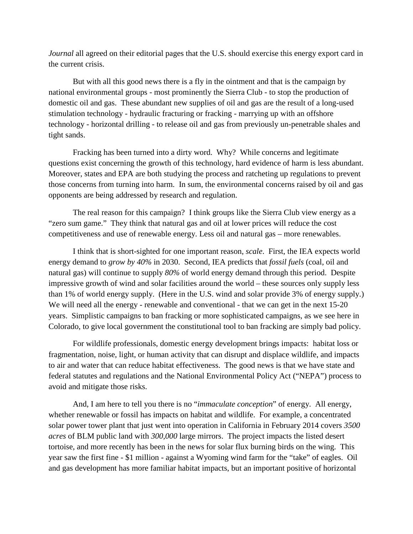*Journal* all agreed on their editorial pages that the U.S. should exercise this energy export card in the current crisis.

But with all this good news there is a fly in the ointment and that is the campaign by national environmental groups - most prominently the Sierra Club - to stop the production of domestic oil and gas. These abundant new supplies of oil and gas are the result of a long-used stimulation technology - hydraulic fracturing or fracking - marrying up with an offshore technology - horizontal drilling - to release oil and gas from previously un-penetrable shales and tight sands.

Fracking has been turned into a dirty word. Why? While concerns and legitimate questions exist concerning the growth of this technology, hard evidence of harm is less abundant. Moreover, states and EPA are both studying the process and ratcheting up regulations to prevent those concerns from turning into harm. In sum, the environmental concerns raised by oil and gas opponents are being addressed by research and regulation.

The real reason for this campaign? I think groups like the Sierra Club view energy as a "zero sum game." They think that natural gas and oil at lower prices will reduce the cost competitiveness and use of renewable energy. Less oil and natural gas – more renewables.

I think that is short-sighted for one important reason, *scale*. First, the IEA expects world energy demand to *grow by 40%* in 2030. Second, IEA predicts that *fossil fuels* (coal, oil and natural gas) will continue to supply *80%* of world energy demand through this period. Despite impressive growth of wind and solar facilities around the world – these sources only supply less than 1% of world energy supply. (Here in the U.S. wind and solar provide 3% of energy supply.) We will need all the energy - renewable and conventional - that we can get in the next 15-20 years. Simplistic campaigns to ban fracking or more sophisticated campaigns, as we see here in Colorado, to give local government the constitutional tool to ban fracking are simply bad policy.

For wildlife professionals, domestic energy development brings impacts: habitat loss or fragmentation, noise, light, or human activity that can disrupt and displace wildlife, and impacts to air and water that can reduce habitat effectiveness. The good news is that we have state and federal statutes and regulations and the National Environmental Policy Act ("NEPA") process to avoid and mitigate those risks.

And, I am here to tell you there is no "*immaculate conception*" of energy. All energy, whether renewable or fossil has impacts on habitat and wildlife. For example, a concentrated solar power tower plant that just went into operation in California in February 2014 covers *3500 acres* of BLM public land with *300,000* large mirrors. The project impacts the listed desert tortoise, and more recently has been in the news for solar flux burning birds on the wing. This year saw the first fine - \$1 million - against a Wyoming wind farm for the "take" of eagles. Oil and gas development has more familiar habitat impacts, but an important positive of horizontal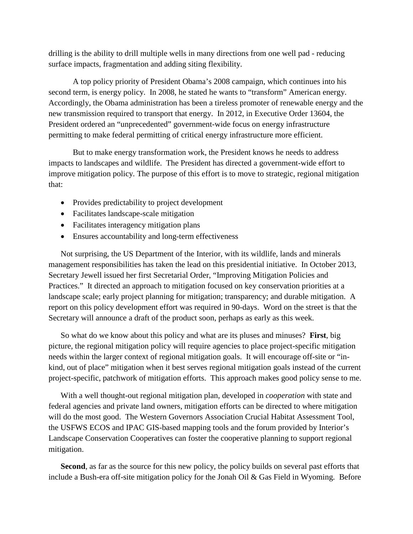drilling is the ability to drill multiple wells in many directions from one well pad - reducing surface impacts, fragmentation and adding siting flexibility.

A top policy priority of President Obama's 2008 campaign, which continues into his second term, is energy policy. In 2008, he stated he wants to "transform" American energy. Accordingly, the Obama administration has been a tireless promoter of renewable energy and the new transmission required to transport that energy. In 2012, in Executive Order 13604, the President ordered an "unprecedented" government-wide focus on energy infrastructure permitting to make federal permitting of critical energy infrastructure more efficient.

But to make energy transformation work, the President knows he needs to address impacts to landscapes and wildlife. The President has directed a government-wide effort to improve mitigation policy. The purpose of this effort is to move to strategic, regional mitigation that:

- Provides predictability to project development
- Facilitates landscape-scale mitigation
- Facilitates interagency mitigation plans
- Ensures accountability and long-term effectiveness

Not surprising, the US Department of the Interior, with its wildlife, lands and minerals management responsibilities has taken the lead on this presidential initiative. In October 2013, Secretary Jewell issued her first Secretarial Order, "Improving Mitigation Policies and Practices." It directed an approach to mitigation focused on key conservation priorities at a landscape scale; early project planning for mitigation; transparency; and durable mitigation. A report on this policy development effort was required in 90-days. Word on the street is that the Secretary will announce a draft of the product soon, perhaps as early as this week.

So what do we know about this policy and what are its pluses and minuses? **First**, big picture, the regional mitigation policy will require agencies to place project-specific mitigation needs within the larger context of regional mitigation goals. It will encourage off-site or "inkind, out of place" mitigation when it best serves regional mitigation goals instead of the current project-specific, patchwork of mitigation efforts. This approach makes good policy sense to me.

With a well thought-out regional mitigation plan, developed in *cooperation* with state and federal agencies and private land owners, mitigation efforts can be directed to where mitigation will do the most good. The Western Governors Association Crucial Habitat Assessment Tool, the USFWS ECOS and IPAC GIS-based mapping tools and the forum provided by Interior's Landscape Conservation Cooperatives can foster the cooperative planning to support regional mitigation.

**Second**, as far as the source for this new policy, the policy builds on several past efforts that include a Bush-era off-site mitigation policy for the Jonah Oil & Gas Field in Wyoming. Before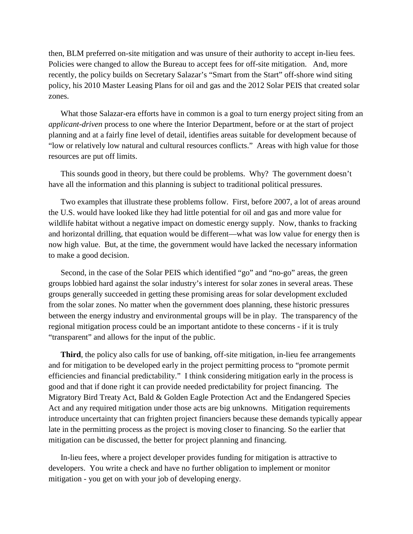then, BLM preferred on-site mitigation and was unsure of their authority to accept in-lieu fees. Policies were changed to allow the Bureau to accept fees for off-site mitigation. And, more recently, the policy builds on Secretary Salazar's "Smart from the Start" off-shore wind siting policy, his 2010 Master Leasing Plans for oil and gas and the 2012 Solar PEIS that created solar zones.

What those Salazar-era efforts have in common is a goal to turn energy project siting from an *applicant-driven* process to one where the Interior Department, before or at the start of project planning and at a fairly fine level of detail, identifies areas suitable for development because of "low or relatively low natural and cultural resources conflicts." Areas with high value for those resources are put off limits.

This sounds good in theory, but there could be problems. Why? The government doesn't have all the information and this planning is subject to traditional political pressures.

Two examples that illustrate these problems follow. First, before 2007, a lot of areas around the U.S. would have looked like they had little potential for oil and gas and more value for wildlife habitat without a negative impact on domestic energy supply. Now, thanks to fracking and horizontal drilling, that equation would be different—what was low value for energy then is now high value. But, at the time, the government would have lacked the necessary information to make a good decision.

Second, in the case of the Solar PEIS which identified "go" and "no-go" areas, the green groups lobbied hard against the solar industry's interest for solar zones in several areas. These groups generally succeeded in getting these promising areas for solar development excluded from the solar zones. No matter when the government does planning, these historic pressures between the energy industry and environmental groups will be in play. The transparency of the regional mitigation process could be an important antidote to these concerns - if it is truly "transparent" and allows for the input of the public.

**Third**, the policy also calls for use of banking, off-site mitigation, in-lieu fee arrangements and for mitigation to be developed early in the project permitting process to "promote permit efficiencies and financial predictability." I think considering mitigation early in the process is good and that if done right it can provide needed predictability for project financing. The Migratory Bird Treaty Act, Bald & Golden Eagle Protection Act and the Endangered Species Act and any required mitigation under those acts are big unknowns. Mitigation requirements introduce uncertainty that can frighten project financiers because these demands typically appear late in the permitting process as the project is moving closer to financing. So the earlier that mitigation can be discussed, the better for project planning and financing.

In-lieu fees, where a project developer provides funding for mitigation is attractive to developers. You write a check and have no further obligation to implement or monitor mitigation - you get on with your job of developing energy.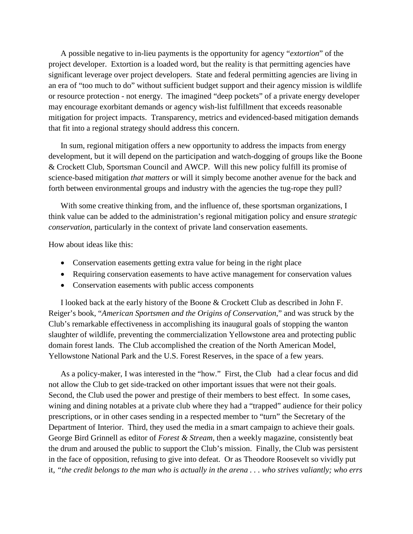A possible negative to in-lieu payments is the opportunity for agency "*extortion*" of the project developer. Extortion is a loaded word, but the reality is that permitting agencies have significant leverage over project developers. State and federal permitting agencies are living in an era of "too much to do" without sufficient budget support and their agency mission is wildlife or resource protection - not energy. The imagined "deep pockets" of a private energy developer may encourage exorbitant demands or agency wish-list fulfillment that exceeds reasonable mitigation for project impacts. Transparency, metrics and evidenced-based mitigation demands that fit into a regional strategy should address this concern.

In sum, regional mitigation offers a new opportunity to address the impacts from energy development, but it will depend on the participation and watch-dogging of groups like the Boone & Crockett Club, Sportsman Council and AWCP. Will this new policy fulfill its promise of science-based mitigation *that matters* or will it simply become another avenue for the back and forth between environmental groups and industry with the agencies the tug-rope they pull?

With some creative thinking from, and the influence of, these sportsman organizations, I think value can be added to the administration's regional mitigation policy and ensure *strategic conservation*, particularly in the context of private land conservation easements.

How about ideas like this:

- Conservation easements getting extra value for being in the right place
- Requiring conservation easements to have active management for conservation values
- Conservation easements with public access components

I looked back at the early history of the Boone & Crockett Club as described in John F. Reiger's book, "*American Sportsmen and the Origins of Conservation*," and was struck by the Club's remarkable effectiveness in accomplishing its inaugural goals of stopping the wanton slaughter of wildlife, preventing the commercialization Yellowstone area and protecting public domain forest lands. The Club accomplished the creation of the North American Model, Yellowstone National Park and the U.S. Forest Reserves, in the space of a few years.

As a policy-maker, I was interested in the "how." First, the Club had a clear focus and did not allow the Club to get side-tracked on other important issues that were not their goals. Second, the Club used the power and prestige of their members to best effect. In some cases, wining and dining notables at a private club where they had a "trapped" audience for their policy prescriptions, or in other cases sending in a respected member to "turn" the Secretary of the Department of Interior. Third, they used the media in a smart campaign to achieve their goals. George Bird Grinnell as editor of *Forest & Stream*, then a weekly magazine, consistently beat the drum and aroused the public to support the Club's mission. Finally, the Club was persistent in the face of opposition, refusing to give into defeat. Or as Theodore Roosevelt so vividly put it, *"the credit belongs to the man who is actually in the arena . . . who strives valiantly; who errs*